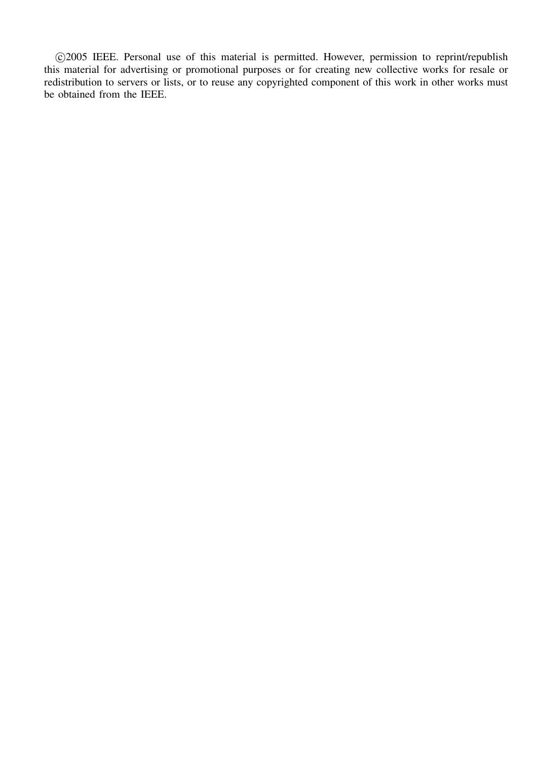°c 2005 IEEE. Personal use of this material is permitted. However, permission to reprint/republish this material for advertising or promotional purposes or for creating new collective works for resale or redistribution to servers or lists, or to reuse any copyrighted component of this work in other works must be obtained from the IEEE.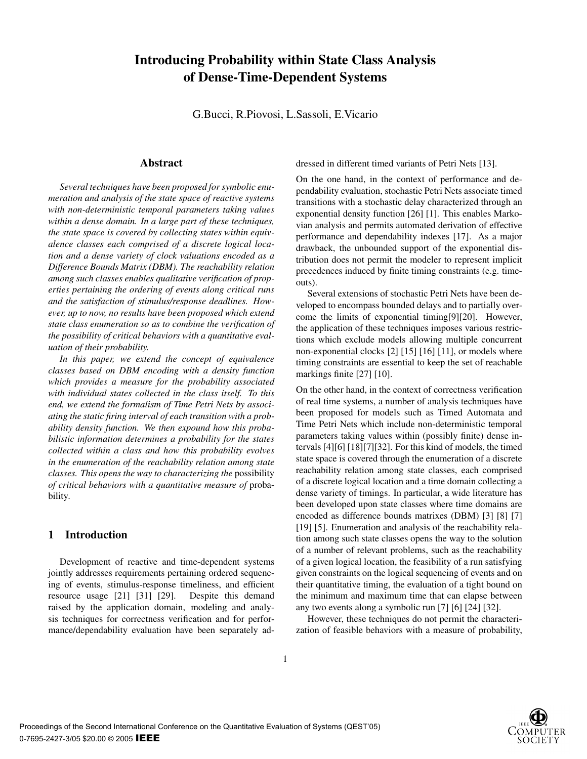# **Introducing Probability within State Class Analysis of Dense-Time-Dependent Systems**

G.Bucci, R.Piovosi, L.Sassoli, E.Vicario

# **Abstract**

*Several techniques have been proposed for symbolic enumeration and analysis of the state space of reactive systems with non-deterministic temporal parameters taking values within a dense domain. In a large part of these techniques, the state space is covered by collecting states within equivalence classes each comprised of a discrete logical location and a dense variety of clock valuations encoded as a Difference Bounds Matrix (DBM). The reachability relation among such classes enables qualitative verification of properties pertaining the ordering of events along critical runs and the satisfaction of stimulus/response deadlines. However, up to now, no results have been proposed which extend state class enumeration so as to combine the verification of the possibility of critical behaviors with a quantitative evaluation of their probability.*

*In this paper, we extend the concept of equivalence classes based on DBM encoding with a density function which provides a measure for the probability associated with individual states collected in the class itself. To this end, we extend the formalism of Time Petri Nets by associating the static firing interval of each transition with a probability density function. We then expound how this probabilistic information determines a probability for the states collected within a class and how this probability evolves in the enumeration of the reachability relation among state classes. This opens the way to characterizing the* possibility *of critical behaviors with a quantitative measure of* probability*.*

# **1 Introduction**

Development of reactive and time-dependent systems jointly addresses requirements pertaining ordered sequencing of events, stimulus-response timeliness, and efficient resource usage [21] [31] [29]. Despite this demand raised by the application domain, modeling and analysis techniques for correctness verification and for performance/dependability evaluation have been separately addressed in different timed variants of Petri Nets [13].

On the one hand, in the context of performance and dependability evaluation, stochastic Petri Nets associate timed transitions with a stochastic delay characterized through an exponential density function [26] [1]. This enables Markovian analysis and permits automated derivation of effective performance and dependability indexes [17]. As a major drawback, the unbounded support of the exponential distribution does not permit the modeler to represent implicit precedences induced by finite timing constraints (e.g. timeouts).

Several extensions of stochastic Petri Nets have been developed to encompass bounded delays and to partially overcome the limits of exponential timing[9][20]. However, the application of these techniques imposes various restrictions which exclude models allowing multiple concurrent non-exponential clocks [2] [15] [16] [11], or models where timing constraints are essential to keep the set of reachable markings finite [27] [10].

On the other hand, in the context of correctness verification of real time systems, a number of analysis techniques have been proposed for models such as Timed Automata and Time Petri Nets which include non-deterministic temporal parameters taking values within (possibly finite) dense intervals [4][6] [18][7][32]. For this kind of models, the timed state space is covered through the enumeration of a discrete reachability relation among state classes, each comprised of a discrete logical location and a time domain collecting a dense variety of timings. In particular, a wide literature has been developed upon state classes where time domains are encoded as difference bounds matrixes (DBM) [3] [8] [7] [19] [5]. Enumeration and analysis of the reachability relation among such state classes opens the way to the solution of a number of relevant problems, such as the reachability of a given logical location, the feasibility of a run satisfying given constraints on the logical sequencing of events and on their quantitative timing, the evaluation of a tight bound on the minimum and maximum time that can elapse between any two events along a symbolic run [7] [6] [24] [32].

However, these techniques do not permit the characterization of feasible behaviors with a measure of probability,

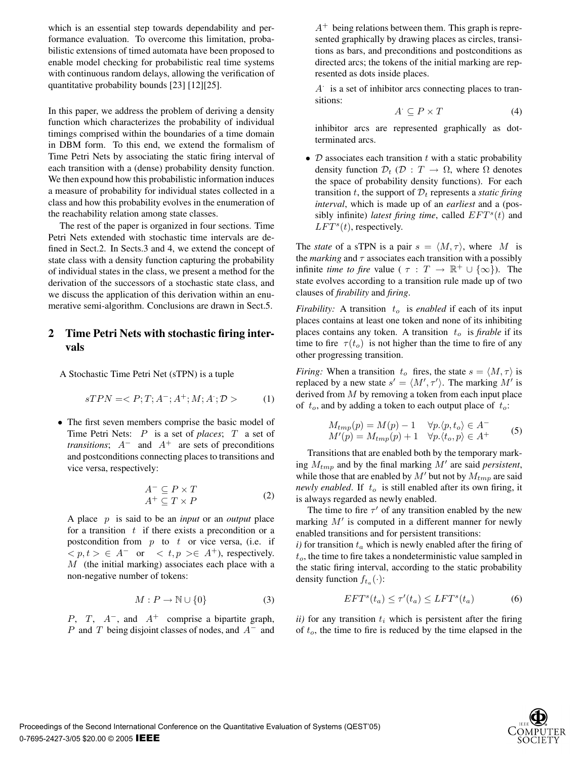which is an essential step towards dependability and performance evaluation. To overcome this limitation, probabilistic extensions of timed automata have been proposed to enable model checking for probabilistic real time systems with continuous random delays, allowing the verification of quantitative probability bounds [23] [12][25].

In this paper, we address the problem of deriving a density function which characterizes the probability of individual timings comprised within the boundaries of a time domain in DBM form. To this end, we extend the formalism of Time Petri Nets by associating the static firing interval of each transition with a (dense) probability density function. We then expound how this probabilistic information induces a measure of probability for individual states collected in a class and how this probability evolves in the enumeration of the reachability relation among state classes.

The rest of the paper is organized in four sections. Time Petri Nets extended with stochastic time intervals are defined in Sect.2. In Sects.3 and 4, we extend the concept of state class with a density function capturing the probability of individual states in the class, we present a method for the derivation of the successors of a stochastic state class, and we discuss the application of this derivation within an enumerative semi-algorithm. Conclusions are drawn in Sect.5.

# **2 Time Petri Nets with stochastic firing intervals**

A Stochastic Time Petri Net (sTPN) is a tuple

$$
sTPN =  (1)
$$

• The first seven members comprise the basic model of Time Petri Nets: P is a set of *places*; T a set of *transitions*; A<sup>−</sup> and A<sup>+</sup> are sets of preconditions and postconditions connecting places to transitions and vice versa, respectively:

$$
A^{-} \subseteq P \times T
$$
  
\n
$$
A^{+} \subseteq T \times P
$$
\n(2)

A place p is said to be an *input* or an *output* place for a transition  $t$  if there exists a precondition or a postcondition from  $p$  to  $t$  or vice versa, (i.e. if  $\langle p, t \rangle \in A^-$  or  $\langle t, p \rangle \in A^+$ , respectively. M (the initial marking) associates each place with a non-negative number of tokens:

$$
M: P \to \mathbb{N} \cup \{0\} \tag{3}
$$

P, T,  $A^-$ , and  $A^+$  comprise a bipartite graph, P and T being disjoint classes of nodes, and  $A^-$  and  $A^+$  being relations between them. This graph is represented graphically by drawing places as circles, transitions as bars, and preconditions and postconditions as directed arcs; the tokens of the initial marking are represented as dots inside places.

 $A<sup>·</sup>$  is a set of inhibitor arcs connecting places to transitions:

$$
A^{\cdot} \subseteq P \times T \tag{4}
$$

inhibitor arcs are represented graphically as dotterminated arcs.

•  $D$  associates each transition  $t$  with a static probability density function  $\mathcal{D}_t$  ( $\mathcal{D}$  :  $T \rightarrow \Omega$ , where  $\Omega$  denotes the space of probability density functions). For each transition t, the support of  $D_t$  represents a *static firing interval*, which is made up of an *earliest* and a (possibly infinite) *latest firing time*, called  $EFT<sup>s</sup>(t)$  and  $LFT<sup>s</sup>(t)$ , respectively.

The *state* of a sTPN is a pair  $s = \langle M, \tau \rangle$ , where M is the *marking* and  $\tau$  associates each transition with a possibly infinite *time to fire* value (  $\tau : T \to \mathbb{R}^+ \cup \{\infty\}$ ). The state evolves according to a transition rule made up of two clauses of *firability* and *firing*.

*Firability:* A transition  $t_o$  is *enabled* if each of its input places contains at least one token and none of its inhibiting places contains any token. A transition  $t_o$  is *firable* if its time to fire  $\tau(t_o)$  is not higher than the time to fire of any other progressing transition.

*Firing:* When a transition  $t_o$  fires, the state  $s = \langle M, \tau \rangle$  is replaced by a new state  $s' = \langle M', \tau' \rangle$ . The marking M' is derived from  $M$  by removing a token from each input place of  $t_o$ , and by adding a token to each output place of  $t_o$ :

$$
M_{tmp}(p) = M(p) - 1 \quad \forall p.\langle p, t_o \rangle \in A^-
$$
  
\n
$$
M'(p) = M_{tmp}(p) + 1 \quad \forall p.\langle t_o, p \rangle \in A^+
$$
\n(5)

Transitions that are enabled both by the temporary marking  $M_{tmp}$  and by the final marking  $\dot{M}'$  are said *persistent*, while those that are enabled by  $M'$  but not by  $M_{tmp}$  are said *newly enabled*. If  $t_o$  is still enabled after its own firing, it is always regarded as newly enabled.

The time to fire  $\tau'$  of any transition enabled by the new marking  $M'$  is computed in a different manner for newly enabled transitions and for persistent transitions:

 $i)$  for transition  $t_a$  which is newly enabled after the firing of  $t<sub>o</sub>$ , the time to fire takes a nondeterministic value sampled in the static firing interval, according to the static probability density function  $f_{t_a}(\cdot)$ :

$$
EFTs(ta) \le \tau'(ta) \le LFTs(ta)
$$
 (6)

 $ii)$  for any transition  $t_i$  which is persistent after the firing of  $t_o$ , the time to fire is reduced by the time elapsed in the

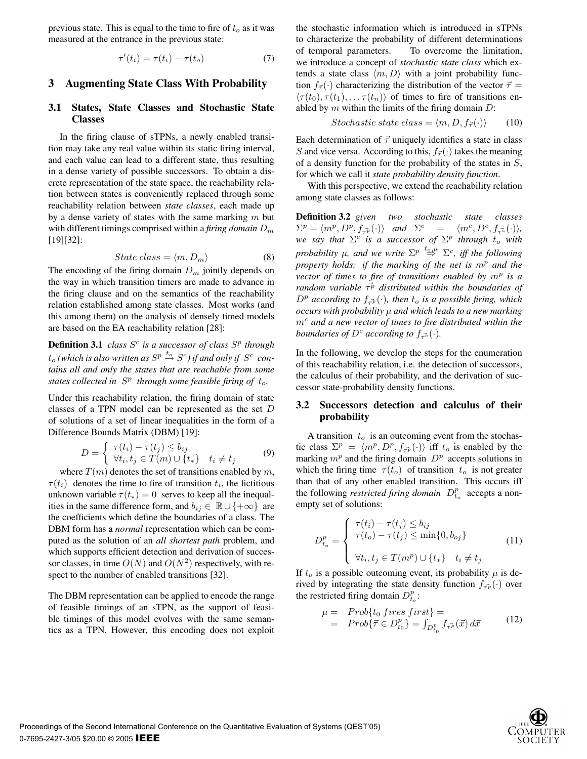previous state. This is equal to the time to fire of  $t<sub>o</sub>$  as it was measured at the entrance in the previous state:

$$
\tau'(t_i) = \tau(t_i) - \tau(t_o) \tag{7}
$$

#### **3 Augmenting State Class With Probability**

#### **3.1 States, State Classes and Stochastic State Classes**

In the firing clause of sTPNs, a newly enabled transition may take any real value within its static firing interval, and each value can lead to a different state, thus resulting in a dense variety of possible successors. To obtain a discrete representation of the state space, the reachability relation between states is conveniently replaced through some reachability relation between *state classes*, each made up by a dense variety of states with the same marking  $m$  but with different timings comprised within a *firing domain*  $D_m$ [19][32]:

$$
State \ class = \langle m, D_m \rangle \tag{8}
$$

The encoding of the firing domain  $D_m$  jointly depends on the way in which transition timers are made to advance in the firing clause and on the semantics of the reachability relation established among state classes. Most works (and this among them) on the analysis of densely timed models are based on the EA reachability relation [28]:

**Definition 3.1** *class*  $S^c$  *is a successor of class*  $S^p$  *through*  $t_o$  (which is also written as  $S^p \stackrel{t_o}{\rightarrow} S^c$ ) if and only if  $S^c$  con*tains all and only the states that are reachable from some states collected in*  $S<sup>p</sup>$  *through some feasible firing of*  $t<sub>o</sub>$ *.* 

Under this reachability relation, the firing domain of state classes of a TPN model can be represented as the set D of solutions of a set of linear inequalities in the form of a Difference Bounds Matrix (DBM) [19]:

$$
D = \begin{cases} \tau(t_i) - \tau(t_j) \le b_{ij} \\ \forall t_i, t_j \in T(m) \cup \{t_*\} & t_i \ne t_j \end{cases}
$$
(9)

where  $T(m)$  denotes the set of transitions enabled by m,  $\tau(t_i)$  denotes the time to fire of transition  $t_i$ , the fictitious unknown variable  $\tau(t_*)=0$  serves to keep all the inequalities in the same difference form, and  $b_{ij} \in \mathbb{R} \cup \{+\infty\}$  are the coefficients which define the boundaries of a class. The DBM form has a *normal* representation which can be computed as the solution of an *all shortest path* problem, and which supports efficient detection and derivation of successor classes, in time  $O(N)$  and  $O(N^2)$  respectively, with respect to the number of enabled transitions [32].

The DBM representation can be applied to encode the range of feasible timings of an sTPN, as the support of feasible timings of this model evolves with the same semantics as a TPN. However, this encoding does not exploit the stochastic information which is introduced in sTPNs to characterize the probability of different determinations of temporal parameters. To overcome the limitation, we introduce a concept of *stochastic state class* which extends a state class  $\langle m, D \rangle$  with a joint probability function  $f_{\vec{\tau}}(\cdot)$  characterizing the distribution of the vector  $\vec{\tau} =$  $\langle \tau(t_0), \tau(t_1), \ldots \tau(t_n) \rangle$  of times to fire of transitions enabled by  $m$  within the limits of the firing domain  $D$ :

$$
Stochastic\ state\ class = \langle m, D, f_{\vec{\tau}}(\cdot) \rangle \qquad (10)
$$

Each determination of  $\vec{\tau}$  uniquely identifies a state in class S and vice versa. According to this,  $f_{\vec{\tau}}(\cdot)$  takes the meaning of a density function for the probability of the states in  $S$ , for which we call it *state probability density function*.

With this perspective, we extend the reachability relation among state classes as follows:

**Definition 3.2** *given two stochastic state classes*  $\Sigma^p = \langle m^p, D^p, f_{\tau^p}(\cdot) \rangle$  *and*  $\Sigma^c = \langle m^c, D^c, f_{\tau^c}(\cdot) \rangle$ , *we say that*  $\Sigma^c$  *is a successor of*  $\Sigma^p$  *through*  $t_o$  *with probability*  $\mu$ *, and we write*  $\Sigma^p \stackrel{t_o,\mu}{\Rightarrow} \Sigma^c$ *, iff the following property holds: if the marking of the net is*  $m<sup>p</sup>$  *and the vector of times to fire of transitions enabled by*  $m^p$  *is a random variable*  $\vec{\tau}^p$  *distributed within the boundaries of*  $D^p$  according to  $f_{\vec{\tau}^p}(\cdot)$ , then  $t_o$  is a possible firing, which *occurs with probability* μ *and which leads to a new marking*  $m<sup>c</sup>$  and a new vector of times to fire distributed within the *boundaries of*  $D^c$  *according to*  $f_{\tau^c}(\cdot)$ *.* 

In the following, we develop the steps for the enumeration of this reachability relation, i.e. the detection of successors, the calculus of their probability, and the derivation of successor state-probability density functions.

#### **3.2 Successors detection and calculus of their probability**

A transition  $t_o$  is an outcoming event from the stochastic class  $\Sigma^p = \langle m^p, D^p, f_{\tau^p}(.) \rangle$  iff  $t_o$  is enabled by the marking  $m^p$  and the firing domain  $D^p$  accepts solutions in which the firing time  $\tau(t_o)$  of transition  $t_o$  is not greater than that of any other enabled transition. This occurs iff the following *restricted firing domain*  $D_{t_o}^p$  accepts a nonempty set of solutions:

$$
D_{t_o}^p = \begin{cases} \tau(t_i) - \tau(t_j) \le b_{ij} \\ \tau(t_o) - \tau(t_j) \le \min\{0, b_{oj}\} \\ \forall t_i, t_j \in T(m^p) \cup \{t_*\} & t_i \ne t_j \end{cases}
$$
(11)

If  $t_o$  is a possible outcoming event, its probability  $\mu$  is derived by integrating the state density function  $f_{\tau^p}(\cdot)$  over the restricted firing domain  $D_{t_o}^p$ :

$$
\mu = \text{Prob}\{t_0 \text{ fires first}\} =
$$
  
= \text{Prob}\{\vec{\tau} \in D\_{t\_0}^p\} = \int\_{D\_{t\_0}^p} f\_{\vec{\tau}^p}(\vec{x}) d\vec{x} \tag{12}

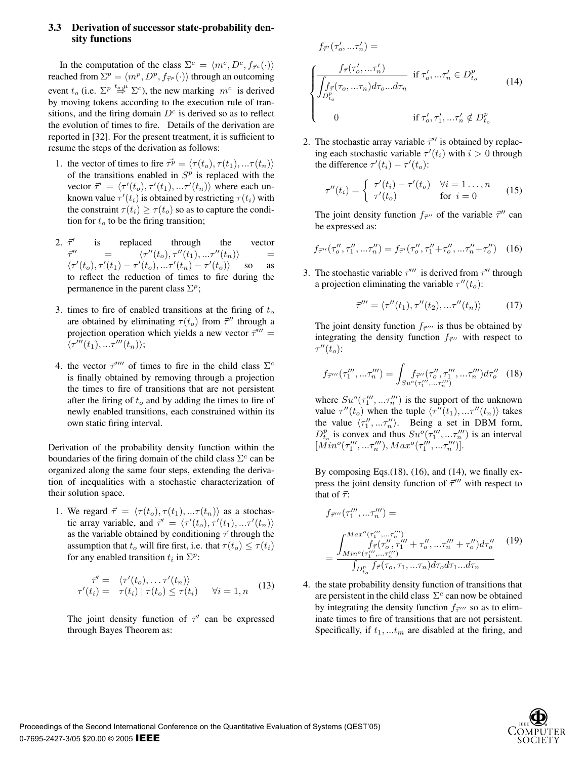# **3.3 Derivation of successor state-probability density functions**

In the computation of the class  $\Sigma^c = \langle m^c, D^c, f_{\vec{\tau}^c}(\cdot) \rangle$ reached from  $\Sigma^p = \langle m^p, D^p, f_{\vec{\tau}^p}(\cdot) \rangle$  through an outcoming event  $t_o$  (i.e.  $\Sigma^p \stackrel{t_o,\mu}{\Rightarrow} \Sigma^c$ ), the new marking  $m^c$  is derived by moving tokens according to the execution rule of transitions, and the firing domain  $D<sup>c</sup>$  is derived so as to reflect the evolution of times to fire. Details of the derivation are reported in [32]. For the present treatment, it is sufficient to resume the steps of the derivation as follows:

- 1. the vector of times to fire  $\vec{\tau}^p = \langle \tau(t_o), \tau(t_1), \dots \tau(t_n) \rangle$ of the transitions enabled in  $S<sup>p</sup>$  is replaced with the vector  $\vec{\tau}' = \langle \tau'(t_o), \tau'(t_1), \dots, \tau'(t_n) \rangle$  where each unknown value  $\tau'(t_i)$  is obtained by restricting  $\tau(t_i)$  with the constraint  $\tau(t_i) \geq \tau(t_o)$  so as to capture the condition for  $t_o$  to be the firing transition;
- $2. \vec{\tau}'$  is replaced through the vector  $\vec{\tau}''$  $\alpha' = \frac{1}{\sqrt{\tau'}}$  $\langle (t_o), \tau''(t_1), ... \tau''(t_n) \rangle$  =  $\langle \tau'(t_o), \tau'(t_1) - \tau'(t_o), \ldots, \tau'(t_n) - \tau'(t_o) \rangle$  so as to reflect the reduction of times to fire during the permanence in the parent class  $\Sigma^p$ ;
- 3. times to fire of enabled transitions at the firing of  $t_o$ are obtained by eliminating  $\tau(t_o)$  from  $\vec{\tau}''$  through a projection operation which yields a new vector  $\vec{\tau}''' =$  $\overline{\langle}\tau'''(t_1),...\overline{\tau}'''(t_n)\rangle;$
- 4. the vector  $\vec{\tau}^{\prime\prime\prime\prime}$  of times to fire in the child class  $\Sigma^c$ is finally obtained by removing through a projection the times to fire of transitions that are not persistent after the firing of  $t_o$  and by adding the times to fire of newly enabled transitions, each constrained within its own static firing interval.

Derivation of the probability density function within the boundaries of the firing domain of the child class  $\Sigma^c$  can be organized along the same four steps, extending the derivation of inequalities with a stochastic characterization of their solution space.

1. We regard  $\vec{\tau} = \langle \tau(t_o), \tau(t_1), \dots, \tau(t_n) \rangle$  as a stochastic array variable, and  $\vec{\tau}' = \langle \tau'(t_o), \tau'(t_1), ... \tau'(t_n) \rangle$ as the variable obtained by conditioning  $\vec{\tau}$  through the assumption that  $t_o$  will fire first, i.e. that  $\tau(t_o) \leq \tau(t_i)$ for any enabled transition  $t_i$  in  $\Sigma^p$ :

$$
\vec{\tau}' = \langle \tau'(t_o), \dots, \tau'(t_n) \rangle \n\tau'(t_i) = \tau(t_i) | \tau(t_o) \leq \tau(t_i) \quad \forall i = 1, n \quad (13)
$$

The joint density function of  $\vec{\tau}'$  can be expressed through Bayes Theorem as:

$$
f_{\vec{\tau}'}(\tau_o', \dots \tau_n') =
$$
\n
$$
\begin{cases}\n\frac{f_{\vec{\tau}}(\tau_o', \dots \tau_n')}{\int_{D_{t_o}^p} f_{\vec{\tau}}(\tau_o, \dots \tau_n) d\tau_o \dots d\tau_n} & \text{if } \tau_o', \dots \tau_n' \in D_{t_o}^p \\
0 & \text{if } \tau_o', \tau_1', \dots \tau_n' \notin D_{t_o}^p\n\end{cases}
$$
\n(14)

2. The stochastic array variable  $\vec{\tau}''$  is obtained by replacing each stochastic variable  $\tau'(t_i)$  with  $i > 0$  through the difference  $\tau'(t_i) - \tau'(t_o)$ :

$$
\tau''(t_i) = \begin{cases} \tau'(t_i) - \tau'(t_o) & \forall i = 1 \dots, n \\ \tau'(t_o) & \text{for } i = 0 \end{cases}
$$
 (15)

The joint density function  $f_{\vec{\tau}''}$  of the variable  $\vec{\tau}''$  can be expressed as:

$$
f_{\vec{\tau}''}(\tau_o'', \tau_1'', \dots, \tau_n'') = f_{\vec{\tau}'}(\tau_o'', \tau_1'' + \tau_o'', \dots, \tau_n'' + \tau_o'')
$$
 (16)

3. The stochastic variable  $\vec{\tau}'''$  is derived from  $\vec{\tau}''$  through a projection eliminating the variable  $\tau''(t_o)$ :

$$
\vec{\tau}''' = \langle \tau''(t_1), \tau''(t_2), \dots, \tau''(t_n) \rangle \tag{17}
$$

The joint density function  $f_{\vec{\tau}''}$  is thus be obtained by integrating the density function  $f_{\vec{\tau}''}$  with respect to  $\tau''(\tilde{t}_o)$ :

$$
f_{\vec{\tau}'''}(\tau_1''',...\tau_n''') = \int_{Su^o(\tau_1''',...,\tau_n''')} d\tau_0'' \quad (18)
$$

where  $Su^{o}(\tau''_1, \ldots, \tau''_n)$  is the support of the unknown value  $\tau''(t_o)$  when the tuple  $\langle \tau''(t_1), \ldots, \tau''(t_n) \rangle$  takes the value  $\langle \tau_1'', \ldots, \tau_n'' \rangle$ . Being a set in DBM form,  $D_{t_o}^p$  is convex and thus  $Su^o(\tau_1''', \dots, \tau_n''')$  is an interval  $[Mino(\tau''_1, \ldots, \tau''_n), Max^o(\tau''_1, \ldots, \tau''_n)].$ 

By composing Eqs.(18), (16), and (14), we finally express the joint density function of  $\vec{\tau}'''$  with respect to that of  $\vec{\tau}$ :

$$
f_{\vec{\tau}'''}(\tau_1''', \dots, \tau_n''') =
$$
  
= 
$$
\frac{\int_{Min^o(\tau_1''', \dots, \tau_n''')} f_{\vec{\tau}}(\tau_0'', \tau_1''' + \tau_0'', \dots, \tau_n''' + \tau_0'') d\tau_0''}{\int_{D_{t_o}^p} f_{\vec{\tau}}(\tau_0, \tau_1, \dots, \tau_n) d\tau_0 d\tau_1 \dots d\tau_n}
$$
 (19)

4. the state probability density function of transitions that are persistent in the child class  $\Sigma^c$  can now be obtained by integrating the density function  $f_{\vec{\tau}''}$  so as to eliminate times to fire of transitions that are not persistent. Specifically, if  $t_1, \ldots t_m$  are disabled at the firing, and

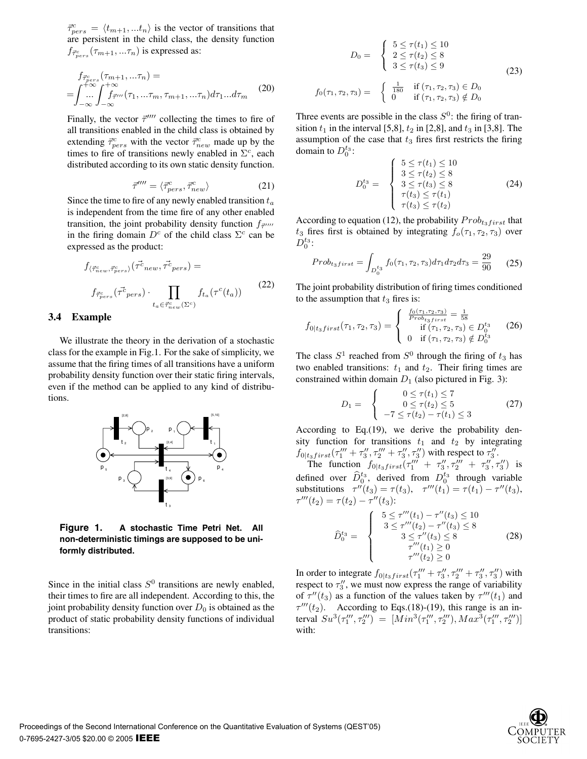$\vec{\tau}_{pers}^c = \langle t_{m+1}, ... t_n \rangle$  is the vector of transitions that are persistent in the child class, the density function  $f_{\vec{\tau}_{pers}^c}(\tau_{m+1},...\tau_n)$  is expressed as:

$$
f_{\vec{\tau}_{pers}^{c}}(\tau_{m+1},\ldots\tau_n) =
$$
  
= 
$$
\int_{-\infty}^{+\infty} \int_{-\infty}^{+\infty} f_{\vec{\tau}'''}(\tau_1, \ldots\tau_m, \tau_{m+1}, \ldots\tau_n) d\tau_1 \ldots d\tau_m
$$
 (20)

Finally, the vector  $\vec{\tau}''''$  collecting the times to fire of all transitions enabled in the child class is obtained by extending  $\vec{\tau}_{pers}^c$  with the vector  $\vec{\tau}_{new}^c$  made up by the times to fire of transitions newly enabled in  $\Sigma^c$ , each distributed according to its own static density function.

$$
\vec{\tau}^{\prime\prime\prime\prime} = \langle \vec{\tau}^c_{pers}, \vec{\tau}^c_{new} \rangle \tag{21}
$$

Since the time to fire of any newly enabled transition  $t_a$ is independent from the time fire of any other enabled transition, the joint probability density function  $f_{\vec{\tau}}$ in the firing domain  $D^c$  of the child class  $\Sigma^c$  can be expressed as the product:

$$
f_{\langle \vec{\tau}_{new}^c, \vec{\tau}_{pers}^c \rangle}(\vec{\tau}_{new}^c, \vec{\tau}_{pers}^c) =
$$
  

$$
f_{\vec{\tau}_{pers}^c}(\vec{\tau}_{pers}^c) \cdot \prod_{t_a \in \vec{\tau}_{new}^c(\Sigma^c)} f_{t_a}(\tau^c(t_a))
$$
 (22)

#### **3.4 Example**

We illustrate the theory in the derivation of a stochastic class for the example in Fig.1. For the sake of simplicity, we assume that the firing times of all transitions have a uniform probability density function over their static firing intervals, even if the method can be applied to any kind of distributions.



**Figure 1. A stochastic Time Petri Net. All non-deterministic timings are supposed to be uniformly distributed.**

Since in the initial class  $S^0$  transitions are newly enabled, their times to fire are all independent. According to this, the joint probability density function over  $D_0$  is obtained as the product of static probability density functions of individual transitions:

$$
D_0 = \begin{cases} 5 \le \tau(t_1) \le 10 \\ 2 \le \tau(t_2) \le 8 \\ 3 \le \tau(t_3) \le 9 \end{cases}
$$
(23)  

$$
f_0(\tau_1, \tau_2, \tau_3) = \begin{cases} \frac{1}{180} & \text{if } (\tau_1, \tau_2, \tau_3) \in D_0 \\ 0 & \text{if } (\tau_1, \tau_2, \tau_3) \notin D_0 \end{cases}
$$

Three events are possible in the class  $S^0$ : the firing of transition  $t_1$  in the interval [5,8],  $t_2$  in [2,8], and  $t_3$  in [3,8]. The assumption of the case that  $t_3$  fires first restricts the firing domain to  $D_0^{t_3}$ :

$$
D_0^{t_3} = \begin{cases} 5 \le \tau(t_1) \le 10 \\ 3 \le \tau(t_2) \le 8 \\ 3 \le \tau(t_3) \le 8 \\ \tau(t_3) \le \tau(t_1) \\ \tau(t_3) \le \tau(t_2) \end{cases}
$$
 (24)

According to equation (12), the probability  $Prob_{t_3first}$  that  $t_3$  fires first is obtained by integrating  $f_o(\tau_1, \tau_2, \tau_3)$  over  $D_0^{t_3}$ :

$$
Prob_{t_3first} = \int_{D_0^{t_3}} f_0(\tau_1, \tau_2, \tau_3) d\tau_1 d\tau_2 d\tau_3 = \frac{29}{90} \qquad (25)
$$

The joint probability distribution of firing times conditioned to the assumption that  $t_3$  fires is:

$$
f_{0|t_3first}(\tau_1, \tau_2, \tau_3) = \begin{cases} \frac{f_0(\tau_1, \tau_2, \tau_3)}{Prob_{t_3first}} = \frac{1}{58} \\ \text{if } (\tau_1, \tau_2, \tau_3) \in D_0^{t_3} \\ 0 \text{if } (\tau_1, \tau_2, \tau_3) \notin D_0^{t_3} \end{cases} (26)
$$

The class  $S^1$  reached from  $S^0$  through the firing of  $t_3$  has two enabled transitions:  $t_1$  and  $t_2$ . Their firing times are constrained within domain  $D_1$  (also pictured in Fig. 3):

$$
D_1 = \begin{cases} 0 \le \tau(t_1) \le 7 \\ 0 \le \tau(t_2) \le 5 \\ -7 \le \tau(t_2) - \tau(t_1) \le 3 \end{cases}
$$
 (27)

According to Eq.(19), we derive the probability density function for transitions  $t_1$  and  $t_2$  by integrating  $f_{0|t_3first}(\tau_1''' + \tau_3'', \tau_2''' + \tau_3'', \tau_3'')$  with respect to  $\tau_3''$ .

The function  $f_{0|t_3first}(\tau_1'''' + \tau_3'', \tau_2'''' + \tau_3'', \tau_3'')$  is defined over  $\widehat{D}_0^{t_3}$ , derived from  $D_0^{t_3}$  through variable substitutions  $\tau''(t_3) = \tau(t_3)$ ,  $\tau'''(t_1) = \tau(t_1) - \tau''(t_3)$ ,  $\tau'''(t_2) = \tau(t_2) - \tau''(t_3)$ :

$$
\widehat{D}_0^{t_3} = \begin{cases}\n5 \leq \tau'''(t_1) - \tau''(t_3) \leq 10 \\
3 \leq \tau'''(t_2) - \tau''(t_3) \leq 8 \\
3 \leq \tau''(t_3) \leq 8 \\
\tau'''(t_1) \geq 0 \\
\tau'''(t_2) \geq 0\n\end{cases}
$$
\n(28)

In order to integrate  $f_{0|t_3first}(\tau_1''' + \tau_3'', \tau_2''' + \tau_3'', \tau_3'')$  with respect to  $\tau''_3$ , we must now express the range of variability of  $\tau''(t_3)$  as a function of the values taken by  $\tau'''(t_1)$  and  $\tau'''(t_2)$ . According to Eqs.(18)-(19), this range is an interval  $Su^3(\tau''_1, \tau''_2) = [Min^3(\tau''_1, \tau'''_2), Max^3(\tau'''_1, \tau'''_2)]$ with:

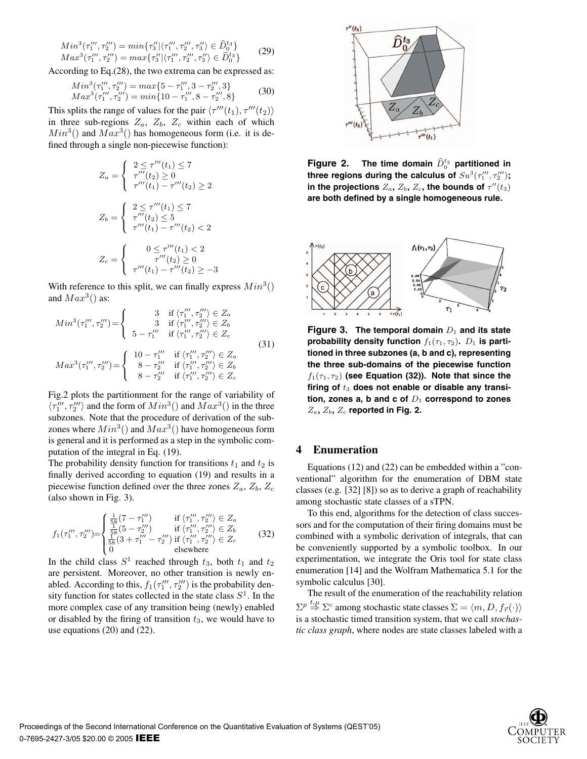$$
Min^3(\tau_1''', \tau_2''') = min{\tau_3''|\langle \tau_1''', \tau_2''', \tau_3'' \rangle \in \hat{D}_0^{t_3} }
$$
  
\n
$$
Max^3(\tau_1''', \tau_2''') = max{\tau_3''|\langle \tau_1''', \tau_2''', \tau_3'' \rangle \in \hat{D}_0^{t_3} }
$$
\n(29)

According to Eq.(28), the two extrema can be expressed as:

$$
Min^3(\tau_1''', \tau_2''') = max\{5 - \tau_1''', 3 - \tau_2''', 3\}
$$
  
\n
$$
Max^3(\tau_1''', \tau_2''') = min\{10 - \tau_1''', 8 - \tau_2''', 8\}
$$
\n(30)

This splits the range of values for the pair  $\langle \tau^{\prime\prime\prime}(t_1), \tau^{\prime\prime\prime}(t_2) \rangle$ in three sub-regions  $Z_a$ ,  $Z_b$ ,  $Z_c$  within each of which  $Min^3()$  and  $Max^3()$  has homogeneous form (i.e. it is defined through a single non-piecewise function):

$$
Z_a = \begin{cases} 2 \le \tau'''(t_1) \le 7 \\ \tau'''(t_2) \ge 0 \\ \tau'''(t_1) - \tau'''(t_2) \ge 2 \end{cases}
$$

$$
Z_b = \begin{cases} 2 \le \tau'''(t_1) \le 7 \\ \tau'''(t_2) \le 5 \\ \tau'''(t_1) - \tau'''(t_2) < 2 \end{cases}
$$

$$
Z_c = \begin{cases} 0 \le \tau'''(t_1) < 2 \\ \tau'''(t_2) \ge 0 \\ \tau'''(t_1) - \tau'''(t_2) \ge -3 \end{cases}
$$

With reference to this split, we can finally express  $Min^3()$ and  $Max^3()$  as:

$$
Min^{3}(\tau_{1}''', \tau_{2}''') = \begin{cases} 3 & \text{if } \langle \tau_{1}''', \tau_{2}'' \rangle \in Z_{a} \\ 3 & \text{if } \langle \tau_{1}''', \tau_{2}'' \rangle \in Z_{b} \\ 5 - \tau_{1}'' & \text{if } \langle \tau_{1}''', \tau_{2}'' \rangle \in Z_{c} \end{cases}
$$

$$
Max^{3}(\tau_{1}''', \tau_{2}''') = \begin{cases} 10 - \tau_{1}'' & \text{if } \langle \tau_{1}''', \tau_{2}'' \rangle \in Z_{a} \\ 8 - \tau_{2}'' & \text{if } \langle \tau_{1}''', \tau_{2}'' \rangle \in Z_{b} \\ 8 - \tau_{2}'' & \text{if } \langle \tau_{1}''', \tau_{2}'' \rangle \in Z_{c} \end{cases}
$$

$$
(31)
$$

Fig.2 plots the partitionment for the range of variability of  $\langle \tau_1^{\prime\prime\prime},\tau_2^{\prime\prime\prime}\rangle$  and the form of  $Min^3()$  and  $Max^3()$  in the three subzones. Note that the procedure of derivation of the subzones where  $Min^3()$  and  $Max^3()$  have homogeneous form is general and it is performed as a step in the symbolic computation of the integral in Eq. (19).

The probability density function for transitions  $t_1$  and  $t_2$  is finally derived according to equation (19) and results in a piecewise function defined over the three zones  $Z_a$ ,  $Z_b$ ,  $Z_c$ (also shown in Fig. 3).

$$
f_1(\tau_1''', \tau_2''') = \begin{cases} \frac{1}{58}(7 - \tau_1''') & \text{if } \langle \tau_1''', \tau_2'' \rangle \in Z_a\\ \frac{1}{58}(5 - \tau_2''') & \text{if } \langle \tau_1''', \tau_2'' \rangle \in Z_b\\ \frac{1}{58}(3 + \tau_1'' - \tau_2'') & \text{if } \langle \tau_1''', \tau_2'' \rangle \in Z_c\\ 0 & \text{elsewhere} \end{cases}
$$
(32)

In the child class  $S^1$  reached through  $t_3$ , both  $t_1$  and  $t_2$ are persistent. Moreover, no other transition is newly enabled. According to this,  $f_1(\tau''_1, \tau''_2)$  is the probability density function for states collected in the state class  $S<sup>1</sup>$ . In the more complex case of any transition being (newly) enabled or disabled by the firing of transition  $t_3$ , we would have to use equations (20) and (22).



**Figure 2.** The time domain  $\widehat{D}_0^{t_3}$  partitioned in three regions during the calculus of  $\mathit{Su}^3(\tau''_1,\tau''_2);$ in the projections  $Z_a$ ,  $Z_b$ ,  $Z_c$ , the bounds of  $\tau''(t_3)$ **are both defined by a single homogeneous rule.**



**Figure 3.** The temporal domain  $D_1$  and its state **probability density function**  $f_1(\tau_1, \tau_2)$ .  $D_1$  is parti**tioned in three subzones (a, b and c), representing the three sub-domains of the piecewise function**  $f_1(\tau_1, \tau_2)$  (see Equation (32)). Note that since the firing of  $t_3$  does not enable or disable any transition, zones a, b and  $\mathbf{c}$  of  $D_1$  correspond to zones  $Z_a$ ,  $Z_b$ ,  $Z_c$  reported in Fig. 2.

#### **4 Enumeration**

Equations (12) and (22) can be embedded within a "conventional" algorithm for the enumeration of DBM state classes (e.g. [32] [8]) so as to derive a graph of reachability among stochastic state classes of a sTPN.

To this end, algorithms for the detection of class successors and for the computation of their firing domains must be combined with a symbolic derivation of integrals, that can be conveniently supported by a symbolic toolbox. In our experimentation, we integrate the Oris tool for state class enumeration [14] and the Wolfram Mathematica 5.1 for the symbolic calculus [30].

The result of the enumeration of the reachability relation  $\Sigma^p \stackrel{t,\mu}{\Rightarrow} \Sigma^c$  among stochastic state classes  $\Sigma = \langle m, D, f_{\vec{\tau}}(\cdot) \rangle$ is a stochastic timed transition system, that we call *stochastic class graph*, where nodes are state classes labeled with a

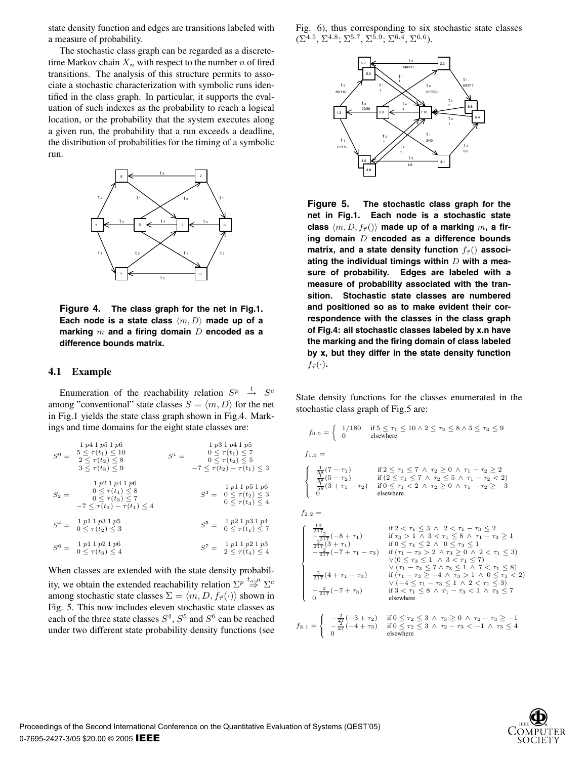state density function and edges are transitions labeled with a measure of probability.

The stochastic class graph can be regarded as a discretetime Markov chain  $X_n$  with respect to the number n of fired transitions. The analysis of this structure permits to associate a stochastic characterization with symbolic runs identified in the class graph. In particular, it supports the evaluation of such indexes as the probability to reach a logical location, or the probability that the system executes along a given run, the probability that a run exceeds a deadline, the distribution of probabilities for the timing of a symbolic run.



**Figure 4. The class graph for the net in Fig.1.** Each node is a state class  $\langle m, D \rangle$  made up of a **marking** m **and a firing domain** D **encoded as a difference bounds matrix.**

#### **4.1 Example**

Enumeration of the reachability relation  $S_p^p \rightarrow S_c^c$ among "conventional" state classes  $S = \langle m, D \rangle$  for the net in Fig.1 yields the state class graph shown in Fig.4. Markings and time domains for the eight state classes are:

| $S^0$ $=$ | 1p41p51p6<br>$5 \leq \tau(t_1) \leq 10$<br>$2 \leq \tau(t_2) \leq 8$<br>$3 \lt \tau(t_3) \lt 9$                                          | 1p31p41p5<br>$0 \leq \tau(t_1) \leq 7$<br>$S^1 =$<br>$0 \leq \tau(t_2) \leq 5$<br>$-7 < \tau(t_2) - \tau(t_1) < 3$ |
|-----------|------------------------------------------------------------------------------------------------------------------------------------------|--------------------------------------------------------------------------------------------------------------------|
| $S_2=$    | 1p21p41p6<br>$0 \leq \tau(t_1) \leq 8$<br>$0 \leq \tau(t_3) \leq 7$<br>$-7 \leq \tau(t_3) - \tau(t_1) \leq 4$                            | 1p11p51p6<br>$S^3 = 0 \leq \tau(t_2) \leq 3$<br>$0 \leq \tau(t_3) \leq 4$                                          |
|           | 1 p1 1 p3 1 p5<br>$S^4 = \begin{array}{c} \ ^1P \ ^1 \ ^1C \\ 0 \leq \tau(t_2) \leq 3 \end{array}$                                       | 1p21p31p4<br>$S^5 =$<br>$0 \leq \tau(t_1) \leq 7$                                                                  |
|           | 1 p1 1 p2 1 p6<br>$S^6 = \begin{array}{c} \begin{array}{c} 1 \; P^1 \; \uparrow \; r \\ 0 \leq \tau(t_3) \leq 4 \end{array} \end{array}$ | 1p11p21p3<br>$S^7=\,$<br>$2 < \tau(t_4) < 4$                                                                       |
|           |                                                                                                                                          |                                                                                                                    |

When classes are extended with the state density probability, we obtain the extended reachability relation  $\Sigma^p \stackrel{t_o,\mu}{\Rightarrow} \Sigma^c$ among stochastic state classes  $\Sigma = \langle m, D, f_{\vec{\tau}}(\cdot) \rangle$  shown in Fig. 5. This now includes eleven stochastic state classes as each of the three state classes  $S^4$ ,  $S^5$  and  $S^6$  can be reached under two different state probability density functions (see

Fig. 6), thus corresponding to six stochastic state classes  $(\Sigma^{4.5}, \Sigma^{4.8}, \Sigma^{5.7}, \Sigma^{5.9}, \Sigma^{6.4}, \Sigma^{6.6}).$ 



**Figure 5. The stochastic class graph for the net in Fig.1. Each node is a stochastic state** class  $\langle m, D, f_{\vec{\tau}} \rangle$  made up of a marking m, a fir**ing domain** D **encoded as a difference bounds matrix, and a state density function**  $f_{\vec{\tau}}($ ) **associating the individual timings within** D **with a measure of probability. Edges are labeled with a measure of probability associated with the transition. Stochastic state classes are numbered and positioned so as to make evident their correspondence with the classes in the class graph of Fig.4: all stochastic classes labeled by x.n have the marking and the firing domain of class labeled by x, but they differ in the state density function**  $f_{\vec{\tau}}(\cdot)$ .

State density functions for the classes enumerated in the stochastic class graph of Fig.5 are:

$$
f_{0.0} = \begin{cases} 1/180 & \text{if } 5 \le \tau_1 \le 10 \land 2 \le \tau_2 \le 8 \land 3 \le \tau_3 \le 9 \\ 0 & \text{elsewhere} \end{cases}
$$
  
\n
$$
f_{1.3} = \begin{cases} \frac{1}{56}(7-\tau_1) & \text{if } 2 \le \tau_1 \le 7 \land \tau_2 \ge 0 \land \tau_1 - \tau_2 \ge 2 \\ \frac{1}{56}(5-\tau_2) & \text{if } (2 \le \tau_1 \le 7 \land \tau_2 \le 5 \land \tau_1 - \tau_2 < 2) \\ \frac{1}{56}(3+\tau_1-\tau_2) & \text{if } 0 \le \tau_1 < 2 \land \tau_2 \le 0 \land \tau_1 - \tau_2 \ge -3 \\ 0 & \text{elsewhere} \end{cases}
$$
  
\n
$$
f_{2.2} = \begin{cases} \frac{10}{217} & \text{if } 2 \le \tau_1 \le 3 \land 2 < \tau_1 - \tau_3 \le 2 \\ \frac{-217}{217}(-8+\tau_1) & \text{if } \tau_3 > 1 \land 3 < \tau_1 \le 8 \land \tau_1 - \tau_3 \ge 1 \\ \frac{217}{217}(3+\tau_1) & \text{if } 0 \le \tau_1 \le 2 \land 0 \le \tau_3 \le 1 \\ -\frac{27}{217}(-7+\tau_1-\tau_3) & \text{if } (\tau_1-\tau_3 \ge 2 \land \tau_3 \ge 0 \land 2 < \tau_1 \le 3) \\ \lor ((0 \le \tau_3 \le 1 \land 3 < \tau_1 \le 7) \\ \lor (\tau_1-\tau_3 \ge 7 \land \tau_3 \le 1 \land 7 < \tau_1 \le 8) \\ \frac{2}{217}(4+\tau_1-\tau_3) & \text{if } (\tau_1-\tau_3 \ge -4 \land \tau_3 > 1 \land 0 \le \tau_1 < 2) \\ \sqrt{(-4 \le \tau_1 - \tau_3 \le 1 \land 2 < \tau_1 \le 3)} \\ \frac{2}{\tau_1}(-7+\tau_3) & \text{if } 3 < \tau_1 \le 8 \land \tau_1 - \tau_3 < 1 \land 2 < \tau_
$$

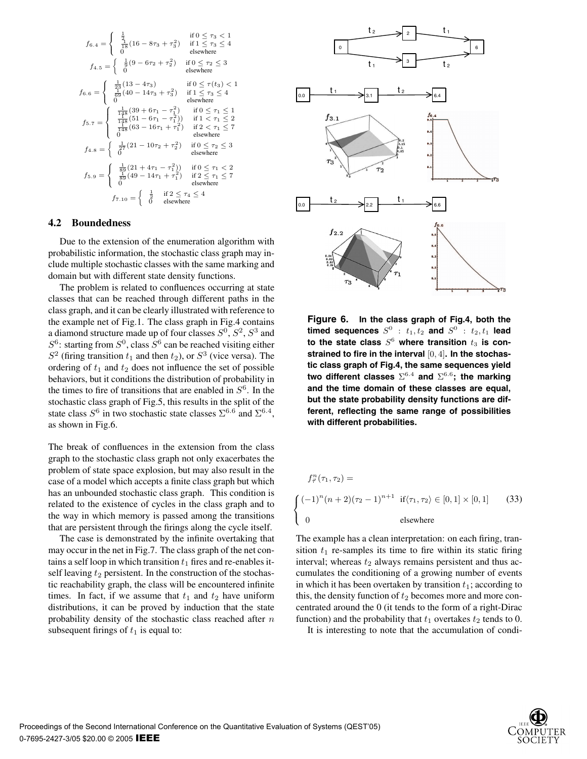$$
f_{6.4} = \begin{cases} \frac{1}{2} & \text{if } 0 \leq \tau_3 < 1\\ \frac{1}{18} (16 - 8\tau_3 + \tau_3^2) & \text{if } 1 \leq \tau_3 \leq 4\\ 0 & \text{elsewhere} \end{cases}
$$
\n
$$
f_{4.5} = \begin{cases} \frac{1}{9} (9 - 6\tau_2 + \tau_2^2) & \text{if } 0 \leq \tau_2 \leq 3\\ 0 & \text{elsewhere} \end{cases}
$$
\n
$$
f_{6.6} = \begin{cases} \frac{1}{25} (13 - 4\tau_3) & \text{if } 0 \leq \tau(t_3) < 1\\ \frac{1}{69} (40 - 14\tau_3 + \tau_3^2) & \text{if } 1 \leq \tau_3 \leq 4\\ 0 & \text{elsewhere} \end{cases}
$$
\n
$$
f_{5.7} = \begin{cases} \frac{1}{148} (39 + 6\tau_1 - \tau_1^2) & \text{if } 0 \leq \tau_1 \leq 1\\ \frac{1}{148} (51 - 6\tau_1 - \tau_1^2)) & \text{if } 1 < \tau_1 \leq 2\\ \frac{1}{148} (63 - 16\tau_1 + \tau_1^2) & \text{if } 2 < \tau_1 \leq 7\\ 0 & \text{elsewhere} \end{cases}
$$
\n
$$
f_{4.8} = \begin{cases} \frac{1}{27} (21 - 10\tau_2 + \tau_2^2) & \text{if } 0 \leq \tau_2 \leq 3\\ 0 & \text{elsewhere} \end{cases}
$$
\n
$$
f_{5.9} = \begin{cases} \frac{1}{89} (21 + 4\tau_1 - \tau_1^2)) & \text{if } 0 \leq \tau_1 < 2\\ \frac{1}{69} (49 - 14\tau_1 + \tau_1^2) & \text{if } 2 \leq \tau_1 \leq 7\\ \frac{1}{69} & \text{elsewhere} \end{cases}
$$
\n
$$
f_{7.10} = \begin{
$$

#### **4.2 Boundedness**

Due to the extension of the enumeration algorithm with probabilistic information, the stochastic class graph may include multiple stochastic classes with the same marking and domain but with different state density functions.

The problem is related to confluences occurring at state classes that can be reached through different paths in the class graph, and it can be clearly illustrated with reference to the example net of Fig.1. The class graph in Fig.4 contains a diamond structure made up of four classes  $S^0$ ,  $S^2$ ,  $S^3$  and  $S^6$ : starting from  $S^0$ , class  $S^6$  can be reached visiting either  $S<sup>2</sup>$  (firing transition  $t_1$  and then  $t_2$ ), or  $S<sup>3</sup>$  (vice versa). The ordering of  $t_1$  and  $t_2$  does not influence the set of possible behaviors, but it conditions the distribution of probability in the times to fire of transitions that are enabled in  $S<sup>6</sup>$ . In the stochastic class graph of Fig.5, this results in the split of the state class  $S^6$  in two stochastic state classes  $\Sigma^{6.6}$  and  $\Sigma^{6.4}$ , as shown in Fig.6.

The break of confluences in the extension from the class graph to the stochastic class graph not only exacerbates the problem of state space explosion, but may also result in the case of a model which accepts a finite class graph but which has an unbounded stochastic class graph. This condition is related to the existence of cycles in the class graph and to the way in which memory is passed among the transitions that are persistent through the firings along the cycle itself.

The case is demonstrated by the infinite overtaking that may occur in the net in Fig.7. The class graph of the net contains a self loop in which transition  $t_1$  fires and re-enables itself leaving  $t_2$  persistent. In the construction of the stochastic reachability graph, the class will be encountered infinite times. In fact, if we assume that  $t_1$  and  $t_2$  have uniform distributions, it can be proved by induction that the state probability density of the stochastic class reached after  $n$ subsequent firings of  $t_1$  is equal to:



**Figure 6. In the class graph of Fig.4, both the timed sequences**  $S^0$  :  $t_1, t_2$  **and**  $S^0$  :  $t_2, t_1$  **lead** to the state class  $S^6$  where transition  $t_3$  is con**strained to fire in the interval** [0, 4]**. In the stochastic class graph of Fig.4, the same sequences yield two different classes**  $\Sigma^{6.4}$  and  $\Sigma^{6.6}$ ; the marking **and the time domain of these classes are equal, but the state probability density functions are different, reflecting the same range of possibilities with different probabilities.**

$$
f_{\vec{\tau}}^n(\tau_1, \tau_2) =
$$
\n
$$
\begin{cases}\n(-1)^n(n+2)(\tau_2 - 1)^{n+1} & \text{if } \langle \tau_1, \tau_2 \rangle \in [0, 1] \times [0, 1] \\
0 & \text{elsewhere}\n\end{cases}
$$
\n(33)

The example has a clean interpretation: on each firing, transition  $t_1$  re-samples its time to fire within its static firing interval; whereas  $t_2$  always remains persistent and thus accumulates the conditioning of a growing number of events in which it has been overtaken by transition  $t_1$ ; according to this, the density function of  $t_2$  becomes more and more concentrated around the 0 (it tends to the form of a right-Dirac function) and the probability that  $t_1$  overtakes  $t_2$  tends to 0.

It is interesting to note that the accumulation of condi-

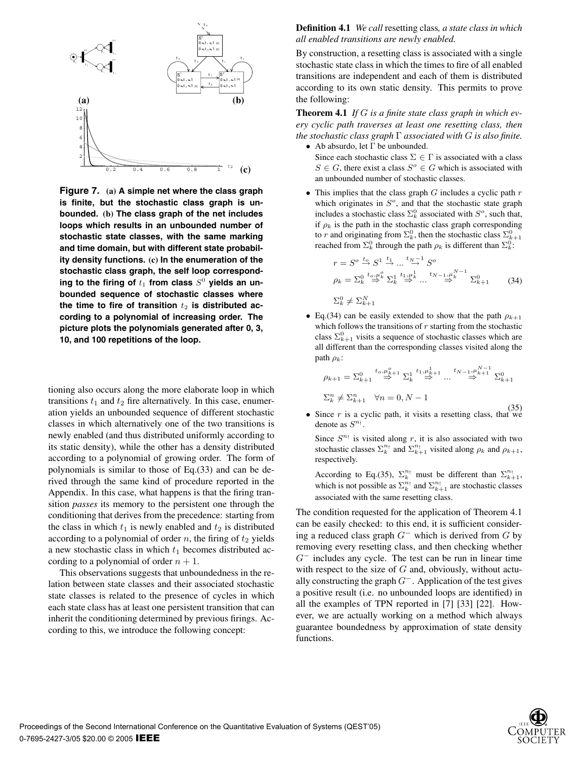

**Figure 7. (a) A simple net where the class graph is finite, but the stochastic class graph is unbounded. (b) The class graph of the net includes loops which results in an unbounded number of stochastic state classes, with the same marking and time domain, but with different state probability density functions. (c) In the enumeration of the stochastic class graph, the self loop correspond**ing to the firing of  $t_1$  from class  $S^0$  yields an un**bounded sequence of stochastic classes where** the time to fire of transition  $t_2$  is distributed ac**cording to a polynomial of increasing order. The picture plots the polynomials generated after 0, 3, 10, and 100 repetitions of the loop.**

tioning also occurs along the more elaborate loop in which transitions  $t_1$  and  $t_2$  fire alternatively. In this case, enumeration yields an unbounded sequence of different stochastic classes in which alternatively one of the two transitions is newly enabled (and thus distributed uniformly according to its static density), while the other has a density distributed according to a polynomial of growing order. The form of polynomials is similar to those of Eq.(33) and can be derived through the same kind of procedure reported in the Appendix. In this case, what happens is that the firing transition *passes* its memory to the persistent one through the conditioning that derives from the precedence: starting from the class in which  $t_1$  is newly enabled and  $t_2$  is distributed according to a polynomial of order n, the firing of  $t_2$  yields a new stochastic class in which  $t_1$  becomes distributed according to a polynomial of order  $n + 1$ .

This observations suggests that unboundedness in the relation between state classes and their associated stochastic state classes is related to the presence of cycles in which each state class has at least one persistent transition that can inherit the conditioning determined by previous firings. According to this, we introduce the following concept:

**Definition 4.1** *We call* resetting class*, a state class in which all enabled transitions are newly enabled.*

By construction, a resetting class is associated with a single stochastic state class in which the times to fire of all enabled transitions are independent and each of them is distributed according to its own static density. This permits to prove the following:

**Theorem 4.1** *If* G *is a finite state class graph in which every cyclic path traverses at least one resetting class, then the stochastic class graph* Γ *associated with* G *is also finite.* • Ab absurdo, let  $\Gamma$  be unbounded.

Since each stochastic class  $\Sigma \in \Gamma$  is associated with a class  $S \in G$ , there exist a class  $S^o \in G$  which is associated with an unbounded number of stochastic classes.

• This implies that the class graph  $G$  includes a cyclic path  $r$ which originates in  $S<sup>o</sup>$ , and that the stochastic state graph includes a stochastic class  $\Sigma_k^0$  associated with  $S^o$ , such that, if  $\rho_k$  is the path in the stochastic class graph corresponding to r and originating from  $\Sigma_k^0$ , then the stochastic class  $\Sigma_{k+1}^0$ reached from  $\Sigma_k^0$  through the path  $\rho_k$  is different than  $\Sigma_k^0$ :

$$
r = S^o \stackrel{t_o}{\rightarrow} S^1 \stackrel{t_1}{\rightarrow} \dots \stackrel{t_{N-1}}{\rightarrow} S^o
$$
  
\n
$$
\rho_k = \sum_k^{0} \stackrel{t_o, \mu_k^o}{\rightarrow} \sum_k^{1} \stackrel{t_1, \mu_k^1}{\rightarrow} \dots \stackrel{t_{N-1}, \mu_k^{N-1}}{\rightarrow} \sum_{k+1}^{0}
$$
 (34)  
\n
$$
\sum_k^{0} \neq \sum_{k+1}^{N}
$$

• Eq.(34) can be easily extended to show that the path  $\rho_{k+1}$ which follows the transitions of  $r$  starting from the stochastic class  $\Sigma_{k+1}^0$  visits a sequence of stochastic classes which are all different than the corresponding classes visited along the path  $\rho_k$ :

$$
\rho_{k+1} = \sum_{k+1}^{0} \stackrel{t_o, \mu_{k+1}^o}{\Rightarrow} \sum_{k}^{1} \stackrel{t_1, \mu_{k+1}^1}{\Rightarrow} \dots \stackrel{t_{N-1}, \mu_{k+1}^{N-1}}{\Rightarrow} \sum_{k+1}^{0}
$$
  

$$
\sum_{k}^{n} \neq \sum_{k+1}^{n} \quad \forall n = 0, N-1
$$

• Since r is a cyclic path, it visits a resetting class, that we denote as  $S^{n}$ !.

Since  $S^{n_1}$  is visited along r, it is also associated with two stochastic classes  $\sum_{k=1}^{n_1}$  and  $\sum_{k=1}^{n_1}$  visited along  $\rho_k$  and  $\rho_{k+1}$ , respectively.

According to Eq.(35),  $\Sigma_k^{n_1}$  must be different than  $\Sigma_{k+1}^{n_1}$ , which is not possible as  $\sum_{k=1}^{n_1}$  and  $\sum_{k=1}^{n_1}$  are stochastic classes associated with the same resetting class.

The condition requested for the application of Theorem 4.1 can be easily checked: to this end, it is sufficient considering a reduced class graph  $G^-$  which is derived from G by removing every resetting class, and then checking whether  $G^-$  includes any cycle. The test can be run in linear time with respect to the size of  $G$  and, obviously, without actually constructing the graph  $G^-$ . Application of the test gives a positive result (i.e. no unbounded loops are identified) in all the examples of TPN reported in [7] [33] [22]. However, we are actually working on a method which always guarantee boundedness by approximation of state density functions.